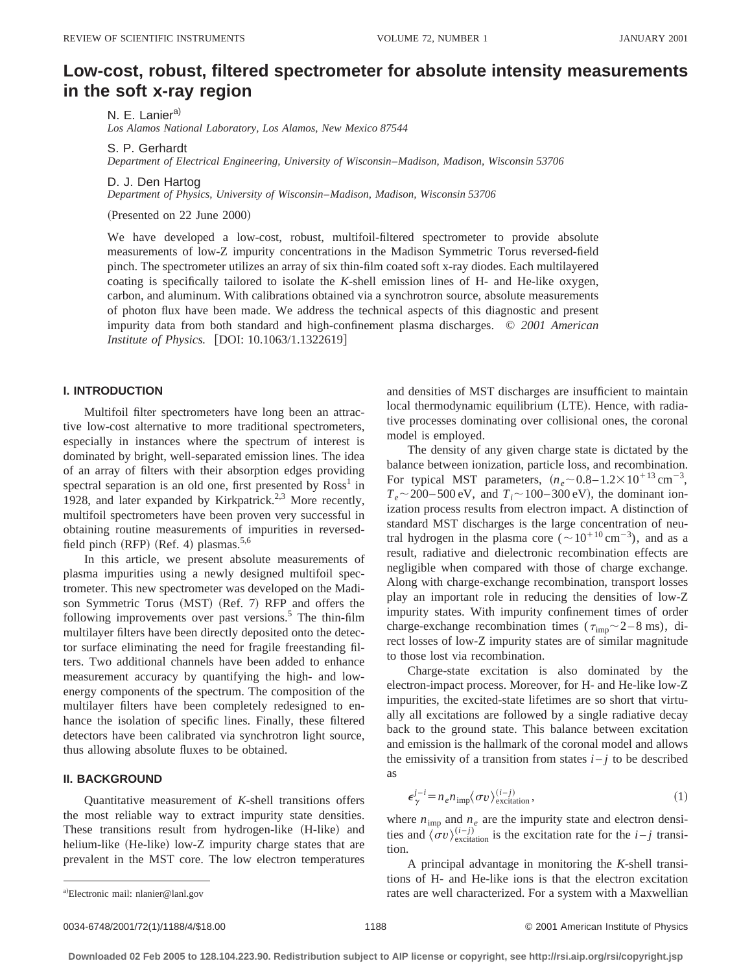# **Low-cost, robust, filtered spectrometer for absolute intensity measurements in the soft x-ray region**

N. E. Lanier<sup>a)</sup>

*Los Alamos National Laboratory, Los Alamos, New Mexico 87544*

S. P. Gerhardt

*Department of Electrical Engineering, University of Wisconsin*–*Madison, Madison, Wisconsin 53706*

D. J. Den Hartog

*Department of Physics, University of Wisconsin*–*Madison, Madison, Wisconsin 53706*

(Presented on 22 June 2000)

We have developed a low-cost, robust, multifoil-filtered spectrometer to provide absolute measurements of low-Z impurity concentrations in the Madison Symmetric Torus reversed-field pinch. The spectrometer utilizes an array of six thin-film coated soft x-ray diodes. Each multilayered coating is specifically tailored to isolate the *K*-shell emission lines of H- and He-like oxygen, carbon, and aluminum. With calibrations obtained via a synchrotron source, absolute measurements of photon flux have been made. We address the technical aspects of this diagnostic and present impurity data from both standard and high-confinement plasma discharges. © *2001 American Institute of Physics.* [DOI: 10.1063/1.1322619]

### **I. INTRODUCTION**

Multifoil filter spectrometers have long been an attractive low-cost alternative to more traditional spectrometers, especially in instances where the spectrum of interest is dominated by bright, well-separated emission lines. The idea of an array of filters with their absorption edges providing spectral separation is an old one, first presented by Ross<sup>1</sup> in 1928, and later expanded by Kirkpatrick.<sup>2,3</sup> More recently, multifoil spectrometers have been proven very successful in obtaining routine measurements of impurities in reversedfield pinch (RFP) (Ref. 4) plasmas. $5,6$ 

In this article, we present absolute measurements of plasma impurities using a newly designed multifoil spectrometer. This new spectrometer was developed on the Madison Symmetric Torus (MST) (Ref. 7) RFP and offers the following improvements over past versions. $5$  The thin-film multilayer filters have been directly deposited onto the detector surface eliminating the need for fragile freestanding filters. Two additional channels have been added to enhance measurement accuracy by quantifying the high- and lowenergy components of the spectrum. The composition of the multilayer filters have been completely redesigned to enhance the isolation of specific lines. Finally, these filtered detectors have been calibrated via synchrotron light source, thus allowing absolute fluxes to be obtained.

#### **II. BACKGROUND**

Quantitative measurement of *K*-shell transitions offers the most reliable way to extract impurity state densities. These transitions result from hydrogen-like (H-like) and helium-like (He-like) low-Z impurity charge states that are prevalent in the MST core. The low electron temperatures and densities of MST discharges are insufficient to maintain local thermodynamic equilibrium (LTE). Hence, with radiative processes dominating over collisional ones, the coronal model is employed.

The density of any given charge state is dictated by the balance between ionization, particle loss, and recombination. For typical MST parameters,  $(n_e \sim 0.8 - 1.2 \times 10^{+13} \text{ cm}^{-3})$ ,  $T_e \sim 200 - 500 \text{ eV}$ , and  $T_i \sim 100 - 300 \text{ eV}$ , the dominant ionization process results from electron impact. A distinction of standard MST discharges is the large concentration of neutral hydrogen in the plasma core ( $\sim 10^{+10} \text{ cm}^{-3}$ ), and as a result, radiative and dielectronic recombination effects are negligible when compared with those of charge exchange. Along with charge-exchange recombination, transport losses play an important role in reducing the densities of low-Z impurity states. With impurity confinement times of order charge-exchange recombination times ( $\tau_{\text{imp}}$   $\sim$  2 – 8 ms), direct losses of low-Z impurity states are of similar magnitude to those lost via recombination.

Charge-state excitation is also dominated by the electron-impact process. Moreover, for H- and He-like low-Z impurities, the excited-state lifetimes are so short that virtually all excitations are followed by a single radiative decay back to the ground state. This balance between excitation and emission is the hallmark of the coronal model and allows the emissivity of a transition from states  $i - j$  to be described as

$$
\epsilon_{\gamma}^{j-i} = n_e n_{\rm imp} \langle \sigma v \rangle_{\rm excitation}^{(i-j)}, \qquad (1)
$$

where  $n_{\text{imp}}$  and  $n_e$  are the impurity state and electron densities and  $\langle \sigma v \rangle_{\text{excitation}}^{(i-j)}$  is the excitation rate for the *i*-*j* transition.

A principal advantage in monitoring the *K*-shell transitions of H- and He-like ions is that the electron excitation rates are well characterized. For a system with a Maxwellian

a)Electronic mail: nlanier@lanl.gov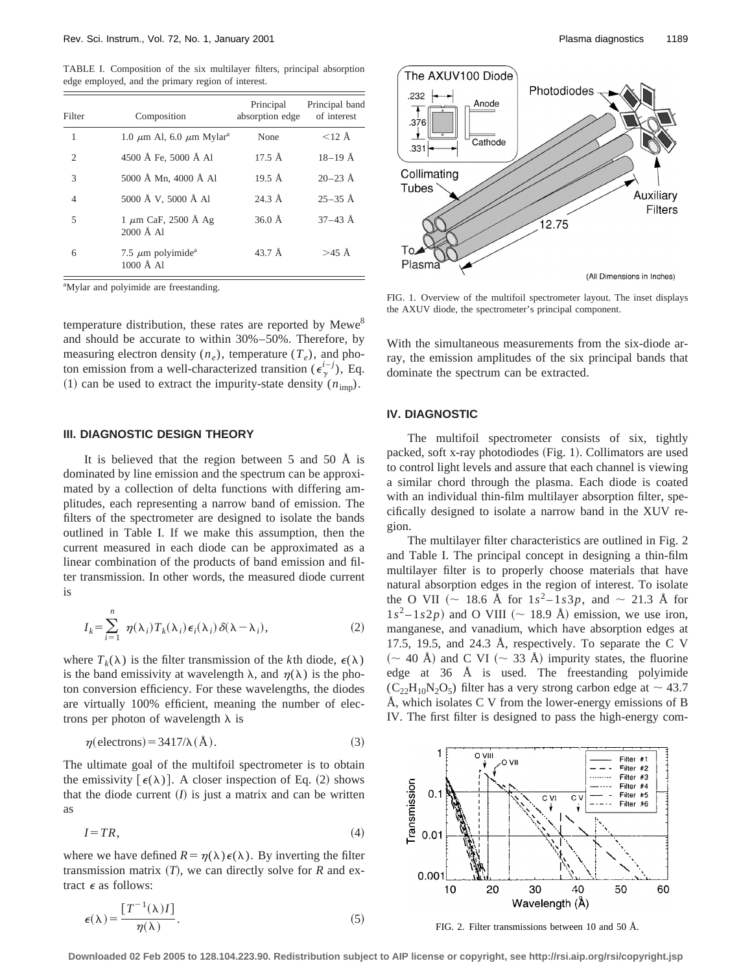TABLE I. Composition of the six multilayer filters, principal absorption edge employed, and the primary region of interest.

| Filter         | Composition                                               | Principal<br>absorption edge | Principal band<br>of interest |
|----------------|-----------------------------------------------------------|------------------------------|-------------------------------|
| 1              | 1.0 $\mu$ m Al, 6.0 $\mu$ m Mylar <sup>a</sup>            | None                         | $<$ 12 Å                      |
| $\overline{2}$ | 4500 Å Fe, 5000 Å Al                                      | $17.5 \text{ Å}$             | $18-19$ Å                     |
| 3              | 5000 Å Mn, 4000 Å Al                                      | $19.5 \text{ Å}$             | $20 - 23$ Å                   |
| $\overline{4}$ | 5000 Å V, 5000 Å Al                                       | $24.3 \text{ Å}$             | $25-35$ Å                     |
| 5              | $1 \mu m$ CaF, 2500 Å Ag<br>$2000 \text{ Å}$ Al           | $36.0 \text{ Å}$             | $37-43$ Å                     |
| 6              | 7.5 $\mu$ m polyimide <sup>a</sup><br>$1000 \text{ Å}$ Al | $43.7 \text{ Å}$             | $>45$ Å                       |

<sup>a</sup>Mylar and polyimide are freestanding.

temperature distribution, these rates are reported by  $Mewe<sup>8</sup>$ and should be accurate to within 30%–50%. Therefore, by measuring electron density  $(n_e)$ , temperature  $(T_e)$ , and photon emission from a well-characterized transition  $(\epsilon^{i-j}_{\gamma})$ , Eq. (1) can be used to extract the impurity-state density  $(n_{\text{imp}})$ .

#### **III. DIAGNOSTIC DESIGN THEORY**

It is believed that the region between 5 and 50 Å is dominated by line emission and the spectrum can be approximated by a collection of delta functions with differing amplitudes, each representing a narrow band of emission. The filters of the spectrometer are designed to isolate the bands outlined in Table I. If we make this assumption, then the current measured in each diode can be approximated as a linear combination of the products of band emission and filter transmission. In other words, the measured diode current is

$$
I_k = \sum_{i=1}^n \eta(\lambda_i) T_k(\lambda_i) \epsilon_i(\lambda_i) \delta(\lambda - \lambda_i), \qquad (2)
$$

where  $T_k(\lambda)$  is the filter transmission of the *k*th diode,  $\epsilon(\lambda)$ is the band emissivity at wavelength  $\lambda$ , and  $\eta(\lambda)$  is the photon conversion efficiency. For these wavelengths, the diodes are virtually 100% efficient, meaning the number of electrons per photon of wavelength  $\lambda$  is

$$
\eta(\text{electrons}) = 3417/\lambda(\text{Å}).\tag{3}
$$

The ultimate goal of the multifoil spectrometer is to obtain the emissivity  $\lceil \epsilon(\lambda) \rceil$ . A closer inspection of Eq. (2) shows that the diode current  $(I)$  is just a matrix and can be written as

$$
I = TR,\tag{4}
$$

where we have defined  $R = \eta(\lambda) \epsilon(\lambda)$ . By inverting the filter transmission matrix  $(T)$ , we can directly solve for  $R$  and extract  $\epsilon$  as follows:

$$
\epsilon(\lambda) = \frac{[T^{-1}(\lambda)I]}{\eta(\lambda)}.
$$
\n(5)



FIG. 1. Overview of the multifoil spectrometer layout. The inset displays the AXUV diode, the spectrometer's principal component.

With the simultaneous measurements from the six-diode array, the emission amplitudes of the six principal bands that dominate the spectrum can be extracted.

#### **IV. DIAGNOSTIC**

The multifoil spectrometer consists of six, tightly packed, soft x-ray photodiodes (Fig. 1). Collimators are used to control light levels and assure that each channel is viewing a similar chord through the plasma. Each diode is coated with an individual thin-film multilayer absorption filter, specifically designed to isolate a narrow band in the XUV region.

The multilayer filter characteristics are outlined in Fig. 2 and Table I. The principal concept in designing a thin-film multilayer filter is to properly choose materials that have natural absorption edges in the region of interest. To isolate the O VII ( $\sim$  18.6 Å for  $1s^2 - 1s3p$ , and  $\sim$  21.3 Å for  $1s^2 - 1s2p$  and O VIII ( $\sim$  18.9 Å) emission, we use iron, manganese, and vanadium, which have absorption edges at 17.5, 19.5, and 24.3 Å, respectively. To separate the C V  $({\sim 40 \text{ Å}})$  and C VI  $({\sim 33 \text{ Å}})$  impurity states, the fluorine edge at 36 Å is used. The freestanding polyimide  $(C_{22}H_{10}N_2O_5)$  filter has a very strong carbon edge at  $\sim$  43.7 Å, which isolates C V from the lower-energy emissions of B IV. The first filter is designed to pass the high-energy com-



FIG. 2. Filter transmissions between 10 and 50 Å.

**Downloaded 02 Feb 2005 to 128.104.223.90. Redistribution subject to AIP license or copyright, see http://rsi.aip.org/rsi/copyright.jsp**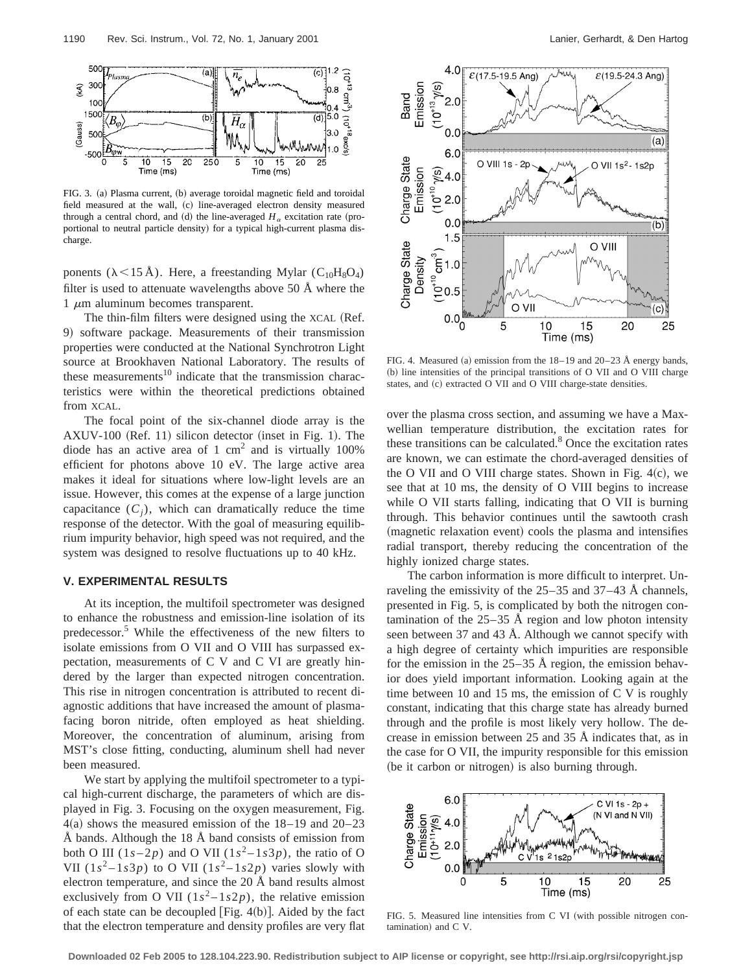

FIG. 3. (a) Plasma current, (b) average toroidal magnetic field and toroidal field measured at the wall, (c) line-averaged electron density measured through a central chord, and (d) the line-averaged  $H_a$  excitation rate (proportional to neutral particle density) for a typical high-current plasma discharge.

ponents ( $\lambda$ <15 Å). Here, a freestanding Mylar (C<sub>10</sub>H<sub>8</sub>O<sub>4</sub>) filter is used to attenuate wavelengths above 50  $\AA$  where the 1  $\mu$ m aluminum becomes transparent.

The thin-film filters were designed using the XCAL (Ref. 9) software package. Measurements of their transmission properties were conducted at the National Synchrotron Light source at Brookhaven National Laboratory. The results of these measurements $10$  indicate that the transmission characteristics were within the theoretical predictions obtained from XCAL.

The focal point of the six-channel diode array is the  $AXUV-100$  (Ref. 11) silicon detector (inset in Fig. 1). The diode has an active area of 1  $\text{cm}^2$  and is virtually 100% efficient for photons above 10 eV. The large active area makes it ideal for situations where low-light levels are an issue. However, this comes at the expense of a large junction capacitance  $(C_i)$ , which can dramatically reduce the time response of the detector. With the goal of measuring equilibrium impurity behavior, high speed was not required, and the system was designed to resolve fluctuations up to 40 kHz.

# **V. EXPERIMENTAL RESULTS**

At its inception, the multifoil spectrometer was designed to enhance the robustness and emission-line isolation of its predecessor.<sup>5</sup> While the effectiveness of the new filters to isolate emissions from O VII and O VIII has surpassed expectation, measurements of C V and C VI are greatly hindered by the larger than expected nitrogen concentration. This rise in nitrogen concentration is attributed to recent diagnostic additions that have increased the amount of plasmafacing boron nitride, often employed as heat shielding. Moreover, the concentration of aluminum, arising from MST's close fitting, conducting, aluminum shell had never been measured.

We start by applying the multifoil spectrometer to a typical high-current discharge, the parameters of which are displayed in Fig. 3. Focusing on the oxygen measurement, Fig.  $4(a)$  shows the measured emission of the 18–19 and 20–23 Å bands. Although the  $18 \text{ Å}$  band consists of emission from both O III  $(1s-2p)$  and O VII  $(1s^2-1s^2p)$ , the ratio of O VII ( $1s^2 - 1s3p$ ) to O VII ( $1s^2 - 1s2p$ ) varies slowly with electron temperature, and since the 20 Å band results almost exclusively from O VII  $(1s^2 - 1s2p)$ , the relative emission of each state can be decoupled [Fig.  $4(b)$ ]. Aided by the fact that the electron temperature and density profiles are very flat



FIG. 4. Measured (a) emission from the  $18-19$  and  $20-23$  Å energy bands, (b) line intensities of the principal transitions of O VII and O VIII charge states, and (c) extracted O VII and O VIII charge-state densities.

over the plasma cross section, and assuming we have a Maxwellian temperature distribution, the excitation rates for these transitions can be calculated. $8$  Once the excitation rates are known, we can estimate the chord-averaged densities of the O VII and O VIII charge states. Shown in Fig.  $4(c)$ , we see that at 10 ms, the density of O VIII begins to increase while O VII starts falling, indicating that O VII is burning through. This behavior continues until the sawtooth crash (magnetic relaxation event) cools the plasma and intensifies radial transport, thereby reducing the concentration of the highly ionized charge states.

The carbon information is more difficult to interpret. Unraveling the emissivity of the 25–35 and 37–43 Å channels, presented in Fig. 5, is complicated by both the nitrogen contamination of the  $25-35$  Å region and low photon intensity seen between 37 and 43 Å. Although we cannot specify with a high degree of certainty which impurities are responsible for the emission in the 25–35 Å region, the emission behavior does yield important information. Looking again at the time between 10 and 15 ms, the emission of C V is roughly constant, indicating that this charge state has already burned through and the profile is most likely very hollow. The decrease in emission between 25 and 35 Å indicates that, as in the case for O VII, the impurity responsible for this emission (be it carbon or nitrogen) is also burning through.



FIG. 5. Measured line intensities from C VI (with possible nitrogen con $t$ amination) and  $C$  V.